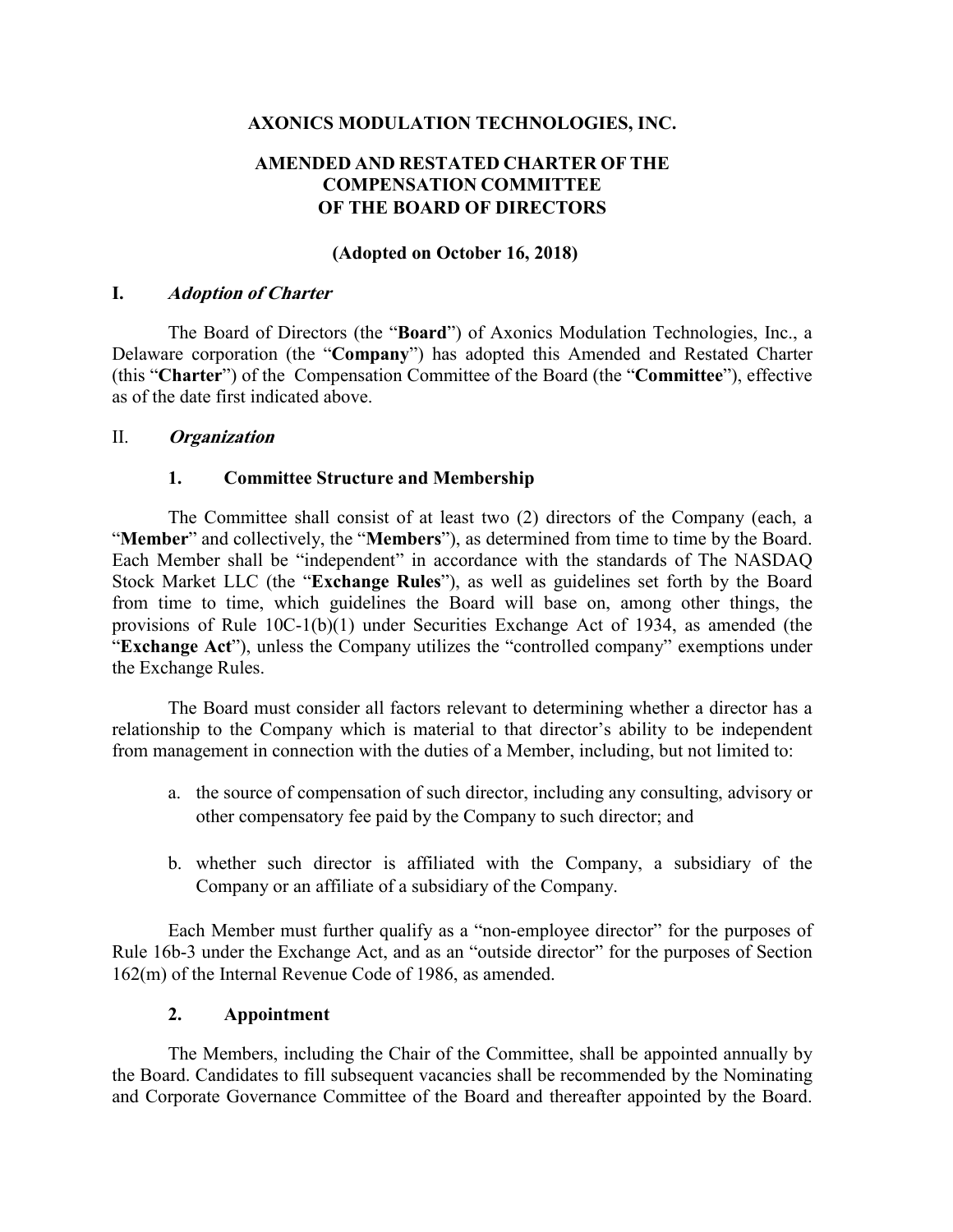## **AXONICS MODULATION TECHNOLOGIES, INC.**

# **AMENDED AND RESTATED CHARTER OF THE COMPENSATION COMMITTEE OF THE BOARD OF DIRECTORS**

## **(Adopted on October 16, 2018)**

### **I. Adoption of Charter**

The Board of Directors (the "**Board**") of Axonics Modulation Technologies, Inc., a Delaware corporation (the "**Company**") has adopted this Amended and Restated Charter (this "**Charter**") of the Compensation Committee of the Board (the "**Committee**"), effective as of the date first indicated above.

### II. **Organization**

### **1. Committee Structure and Membership**

The Committee shall consist of at least two (2) directors of the Company (each, a "**Member**" and collectively, the "**Members**"), as determined from time to time by the Board. Each Member shall be "independent" in accordance with the standards of The NASDAQ Stock Market LLC (the "**Exchange Rules**"), as well as guidelines set forth by the Board from time to time, which guidelines the Board will base on, among other things, the provisions of Rule 10C-1(b)(1) under Securities Exchange Act of 1934, as amended (the "**Exchange Act**"), unless the Company utilizes the "controlled company" exemptions under the Exchange Rules.

The Board must consider all factors relevant to determining whether a director has a relationship to the Company which is material to that director's ability to be independent from management in connection with the duties of a Member, including, but not limited to:

- a. the source of compensation of such director, including any consulting, advisory or other compensatory fee paid by the Company to such director; and
- b. whether such director is affiliated with the Company, a subsidiary of the Company or an affiliate of a subsidiary of the Company.

Each Member must further qualify as a "non-employee director" for the purposes of Rule 16b-3 under the Exchange Act, and as an "outside director" for the purposes of Section 162(m) of the Internal Revenue Code of 1986, as amended.

### **2. Appointment**

The Members, including the Chair of the Committee, shall be appointed annually by the Board. Candidates to fill subsequent vacancies shall be recommended by the Nominating and Corporate Governance Committee of the Board and thereafter appointed by the Board.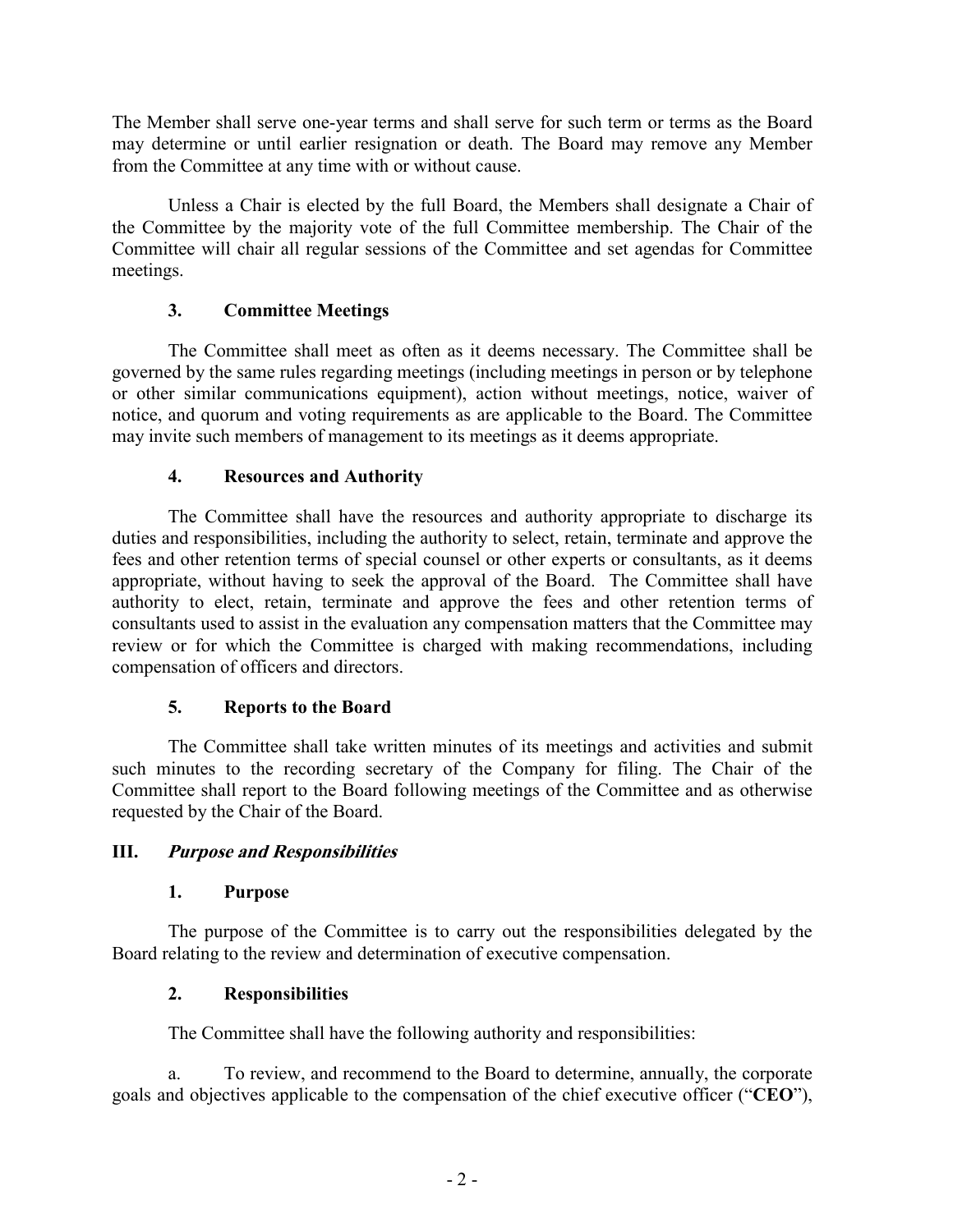The Member shall serve one-year terms and shall serve for such term or terms as the Board may determine or until earlier resignation or death. The Board may remove any Member from the Committee at any time with or without cause.

Unless a Chair is elected by the full Board, the Members shall designate a Chair of the Committee by the majority vote of the full Committee membership. The Chair of the Committee will chair all regular sessions of the Committee and set agendas for Committee meetings.

## **3. Committee Meetings**

The Committee shall meet as often as it deems necessary. The Committee shall be governed by the same rules regarding meetings (including meetings in person or by telephone or other similar communications equipment), action without meetings, notice, waiver of notice, and quorum and voting requirements as are applicable to the Board. The Committee may invite such members of management to its meetings as it deems appropriate.

# **4. Resources and Authority**

The Committee shall have the resources and authority appropriate to discharge its duties and responsibilities, including the authority to select, retain, terminate and approve the fees and other retention terms of special counsel or other experts or consultants, as it deems appropriate, without having to seek the approval of the Board. The Committee shall have authority to elect, retain, terminate and approve the fees and other retention terms of consultants used to assist in the evaluation any compensation matters that the Committee may review or for which the Committee is charged with making recommendations, including compensation of officers and directors.

## **5. Reports to the Board**

The Committee shall take written minutes of its meetings and activities and submit such minutes to the recording secretary of the Company for filing. The Chair of the Committee shall report to the Board following meetings of the Committee and as otherwise requested by the Chair of the Board.

## **III. Purpose and Responsibilities**

## **1. Purpose**

The purpose of the Committee is to carry out the responsibilities delegated by the Board relating to the review and determination of executive compensation.

## **2. Responsibilities**

The Committee shall have the following authority and responsibilities:

a. To review, and recommend to the Board to determine, annually, the corporate goals and objectives applicable to the compensation of the chief executive officer ("**CEO**"),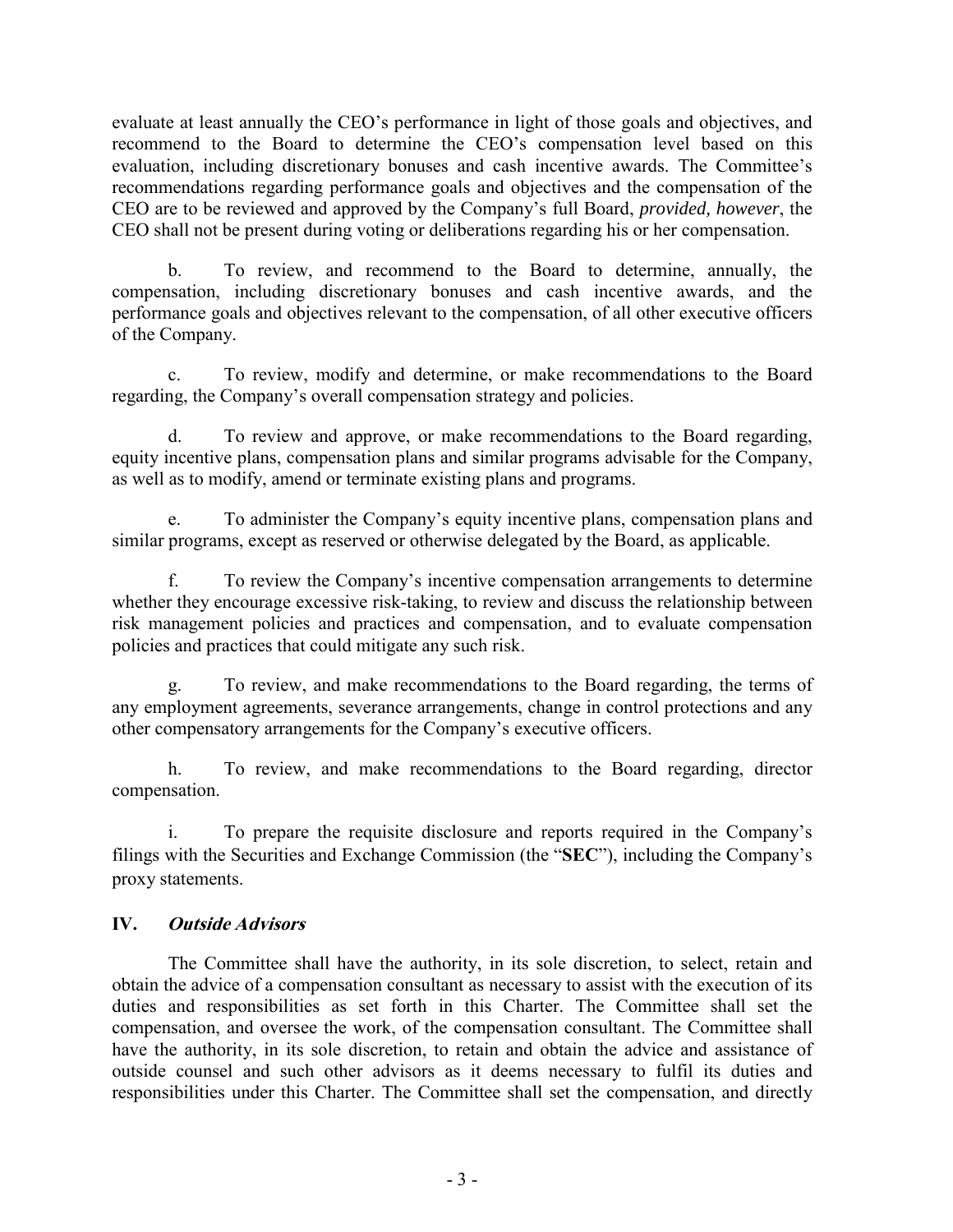evaluate at least annually the CEO's performance in light of those goals and objectives, and recommend to the Board to determine the CEO's compensation level based on this evaluation, including discretionary bonuses and cash incentive awards. The Committee's recommendations regarding performance goals and objectives and the compensation of the CEO are to be reviewed and approved by the Company's full Board, *provided, however*, the CEO shall not be present during voting or deliberations regarding his or her compensation.

b. To review, and recommend to the Board to determine, annually, the compensation, including discretionary bonuses and cash incentive awards, and the performance goals and objectives relevant to the compensation, of all other executive officers of the Company.

c. To review, modify and determine, or make recommendations to the Board regarding, the Company's overall compensation strategy and policies.

d. To review and approve, or make recommendations to the Board regarding, equity incentive plans, compensation plans and similar programs advisable for the Company, as well as to modify, amend or terminate existing plans and programs.

To administer the Company's equity incentive plans, compensation plans and similar programs, except as reserved or otherwise delegated by the Board, as applicable.

f. To review the Company's incentive compensation arrangements to determine whether they encourage excessive risk-taking, to review and discuss the relationship between risk management policies and practices and compensation, and to evaluate compensation policies and practices that could mitigate any such risk.

g. To review, and make recommendations to the Board regarding, the terms of any employment agreements, severance arrangements, change in control protections and any other compensatory arrangements for the Company's executive officers.

h. To review, and make recommendations to the Board regarding, director compensation.

i. To prepare the requisite disclosure and reports required in the Company's filings with the Securities and Exchange Commission (the "**SEC**"), including the Company's proxy statements.

## **IV. Outside Advisors**

The Committee shall have the authority, in its sole discretion, to select, retain and obtain the advice of a compensation consultant as necessary to assist with the execution of its duties and responsibilities as set forth in this Charter. The Committee shall set the compensation, and oversee the work, of the compensation consultant. The Committee shall have the authority, in its sole discretion, to retain and obtain the advice and assistance of outside counsel and such other advisors as it deems necessary to fulfil its duties and responsibilities under this Charter. The Committee shall set the compensation, and directly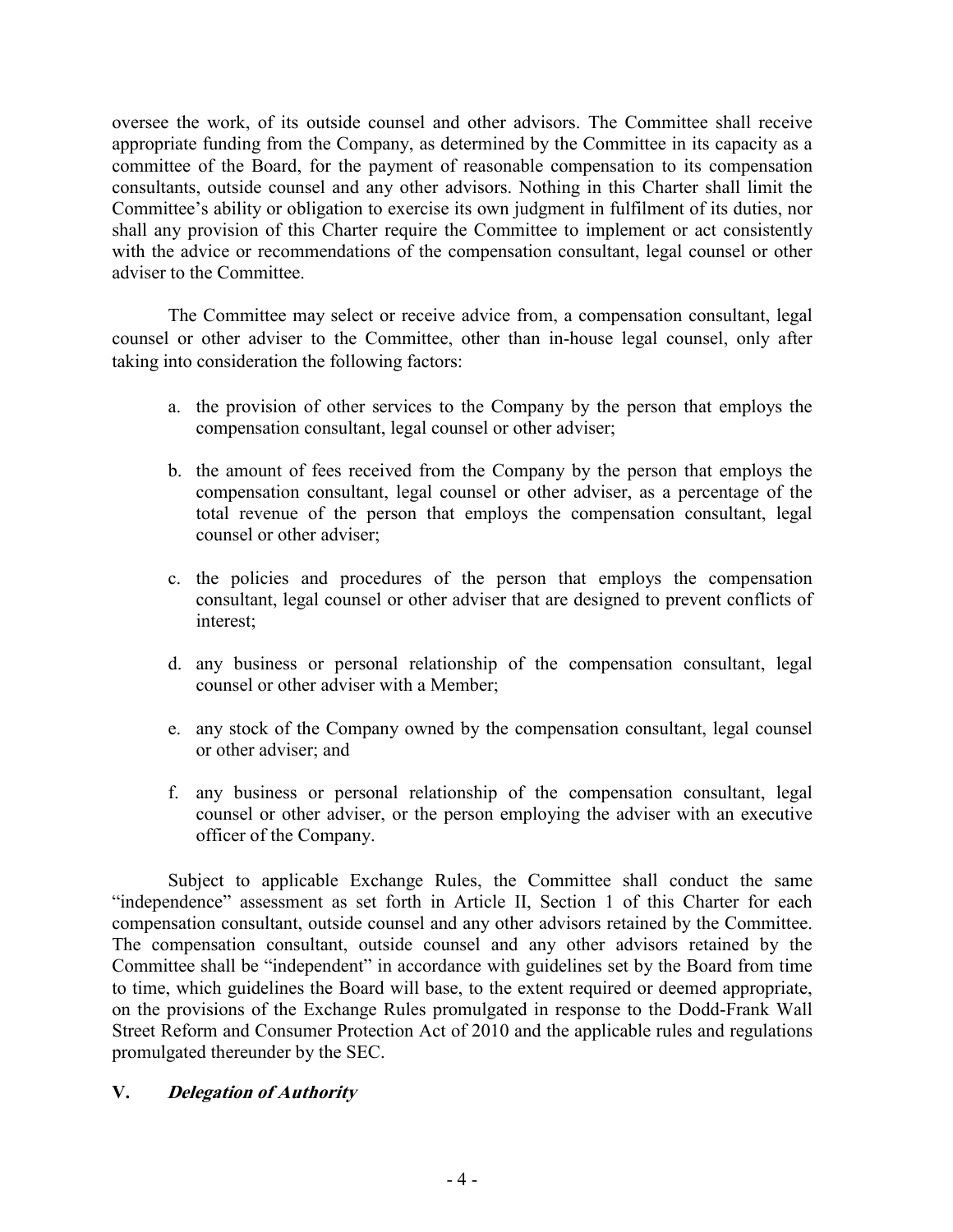oversee the work, of its outside counsel and other advisors. The Committee shall receive appropriate funding from the Company, as determined by the Committee in its capacity as a committee of the Board, for the payment of reasonable compensation to its compensation consultants, outside counsel and any other advisors. Nothing in this Charter shall limit the Committee's ability or obligation to exercise its own judgment in fulfilment of its duties, nor shall any provision of this Charter require the Committee to implement or act consistently with the advice or recommendations of the compensation consultant, legal counsel or other adviser to the Committee.

The Committee may select or receive advice from, a compensation consultant, legal counsel or other adviser to the Committee, other than in-house legal counsel, only after taking into consideration the following factors:

- a. the provision of other services to the Company by the person that employs the compensation consultant, legal counsel or other adviser;
- b. the amount of fees received from the Company by the person that employs the compensation consultant, legal counsel or other adviser, as a percentage of the total revenue of the person that employs the compensation consultant, legal counsel or other adviser;
- c. the policies and procedures of the person that employs the compensation consultant, legal counsel or other adviser that are designed to prevent conflicts of interest;
- d. any business or personal relationship of the compensation consultant, legal counsel or other adviser with a Member;
- e. any stock of the Company owned by the compensation consultant, legal counsel or other adviser; and
- f. any business or personal relationship of the compensation consultant, legal counsel or other adviser, or the person employing the adviser with an executive officer of the Company.

Subject to applicable Exchange Rules, the Committee shall conduct the same "independence" assessment as set forth in Article II, Section 1 of this Charter for each compensation consultant, outside counsel and any other advisors retained by the Committee. The compensation consultant, outside counsel and any other advisors retained by the Committee shall be "independent" in accordance with guidelines set by the Board from time to time, which guidelines the Board will base, to the extent required or deemed appropriate, on the provisions of the Exchange Rules promulgated in response to the Dodd-Frank Wall Street Reform and Consumer Protection Act of 2010 and the applicable rules and regulations promulgated thereunder by the SEC.

## **V. Delegation of Authority**